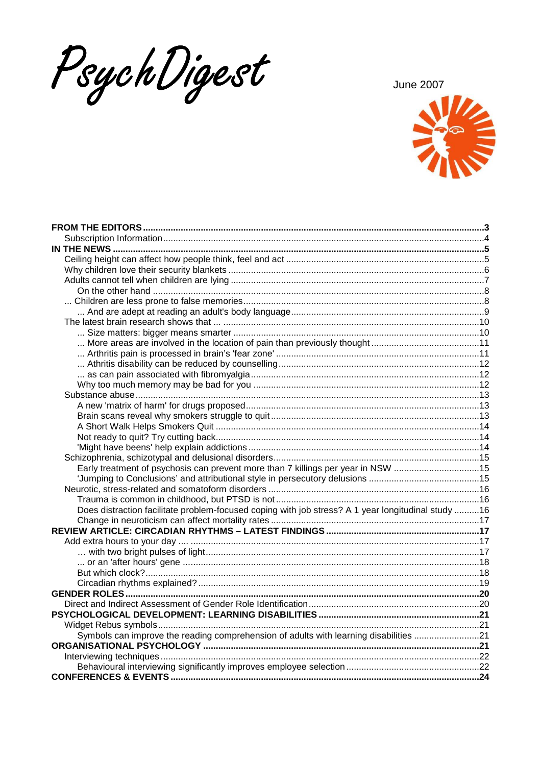PsychDigest

**June 2007** 



| Early treatment of psychosis can prevent more than 7 killings per year in NSW 15                   |  |
|----------------------------------------------------------------------------------------------------|--|
|                                                                                                    |  |
|                                                                                                    |  |
|                                                                                                    |  |
| Does distraction facilitate problem-focused coping with job stress? A 1 year longitudinal study 16 |  |
|                                                                                                    |  |
|                                                                                                    |  |
|                                                                                                    |  |
|                                                                                                    |  |
|                                                                                                    |  |
|                                                                                                    |  |
|                                                                                                    |  |
|                                                                                                    |  |
|                                                                                                    |  |
|                                                                                                    |  |
|                                                                                                    |  |
| Symbols can improve the reading comprehension of adults with learning disabilities 21              |  |
|                                                                                                    |  |
|                                                                                                    |  |
|                                                                                                    |  |
|                                                                                                    |  |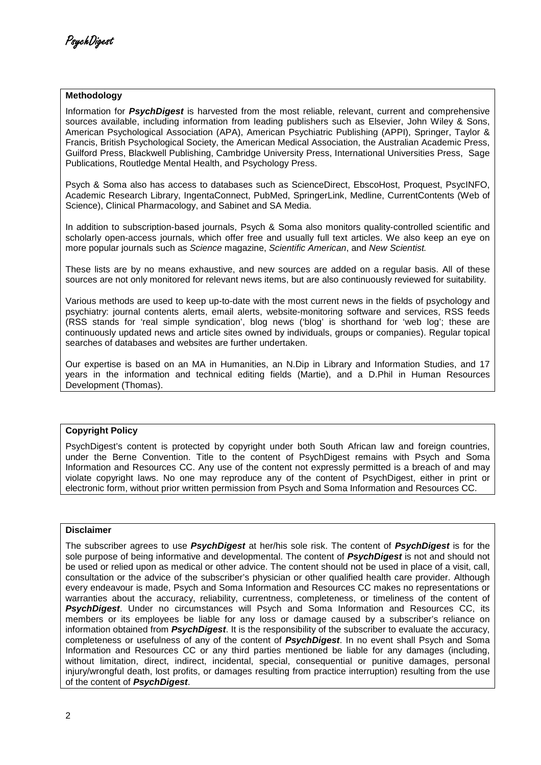### **Methodology**

Information for **PsychDigest** is harvested from the most reliable, relevant, current and comprehensive sources available, including information from leading publishers such as Elsevier, John Wiley & Sons, American Psychological Association (APA), American Psychiatric Publishing (APPI), Springer, Taylor & Francis, British Psychological Society, the American Medical Association, the Australian Academic Press, Guilford Press, Blackwell Publishing, Cambridge University Press, International Universities Press, Sage Publications, Routledge Mental Health, and Psychology Press.

Psych & Soma also has access to databases such as ScienceDirect, EbscoHost, Proquest, PsycINFO, Academic Research Library, IngentaConnect, PubMed, SpringerLink, Medline, CurrentContents (Web of Science), Clinical Pharmacology, and Sabinet and SA Media.

In addition to subscription-based journals, Psych & Soma also monitors quality-controlled scientific and scholarly open-access journals, which offer free and usually full text articles. We also keep an eye on more popular journals such as Science magazine, Scientific American, and New Scientist.

These lists are by no means exhaustive, and new sources are added on a regular basis. All of these sources are not only monitored for relevant news items, but are also continuously reviewed for suitability.

Various methods are used to keep up-to-date with the most current news in the fields of psychology and psychiatry: journal contents alerts, email alerts, website-monitoring software and services, RSS feeds (RSS stands for 'real simple syndication', blog news ('blog' is shorthand for 'web log'; these are continuously updated news and article sites owned by individuals, groups or companies). Regular topical searches of databases and websites are further undertaken.

Our expertise is based on an MA in Humanities, an N.Dip in Library and Information Studies, and 17 years in the information and technical editing fields (Martie), and a D.Phil in Human Resources Development (Thomas).

### **Copyright Policy**

PsychDigest's content is protected by copyright under both South African law and foreign countries, under the Berne Convention. Title to the content of PsychDigest remains with Psych and Soma Information and Resources CC. Any use of the content not expressly permitted is a breach of and may violate copyright laws. No one may reproduce any of the content of PsychDigest, either in print or electronic form, without prior written permission from Psych and Soma Information and Resources CC.

### **Disclaimer**

The subscriber agrees to use **PsychDigest** at her/his sole risk. The content of **PsychDigest** is for the sole purpose of being informative and developmental. The content of **PsychDigest** is not and should not be used or relied upon as medical or other advice. The content should not be used in place of a visit, call, consultation or the advice of the subscriber's physician or other qualified health care provider. Although every endeavour is made, Psych and Soma Information and Resources CC makes no representations or warranties about the accuracy, reliability, currentness, completeness, or timeliness of the content of **PsychDigest**. Under no circumstances will Psych and Soma Information and Resources CC, its members or its employees be liable for any loss or damage caused by a subscriber's reliance on information obtained from **PsychDigest**. It is the responsibility of the subscriber to evaluate the accuracy, completeness or usefulness of any of the content of **PsychDigest**. In no event shall Psych and Soma Information and Resources CC or any third parties mentioned be liable for any damages (including, without limitation, direct, indirect, incidental, special, consequential or punitive damages, personal injury/wrongful death, lost profits, or damages resulting from practice interruption) resulting from the use of the content of **PsychDigest**.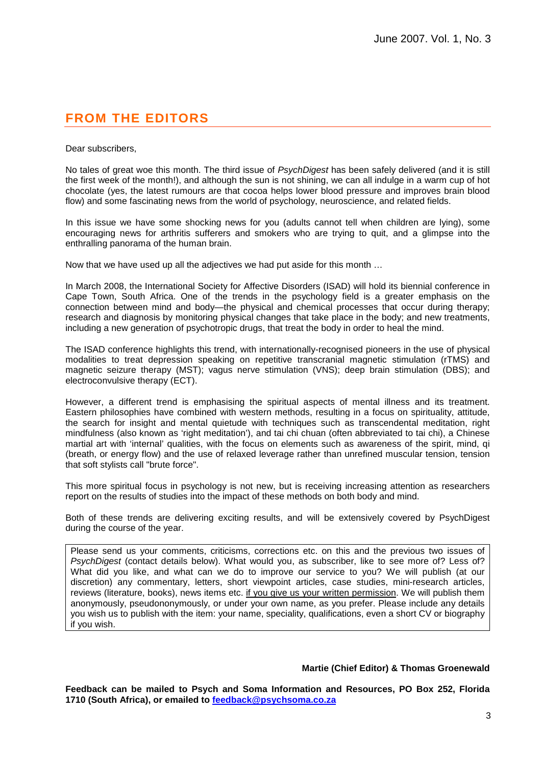# **FROM THE EDITORS**

Dear subscribers,

No tales of great woe this month. The third issue of PsychDigest has been safely delivered (and it is still the first week of the month!), and although the sun is not shining, we can all indulge in a warm cup of hot chocolate (yes, the latest rumours are that cocoa helps lower blood pressure and improves brain blood flow) and some fascinating news from the world of psychology, neuroscience, and related fields.

In this issue we have some shocking news for you (adults cannot tell when children are lying), some encouraging news for arthritis sufferers and smokers who are trying to quit, and a glimpse into the enthralling panorama of the human brain.

Now that we have used up all the adjectives we had put aside for this month …

In March 2008, the International Society for Affective Disorders (ISAD) will hold its biennial conference in Cape Town, South Africa. One of the trends in the psychology field is a greater emphasis on the connection between mind and body—the physical and chemical processes that occur during therapy; research and diagnosis by monitoring physical changes that take place in the body; and new treatments, including a new generation of psychotropic drugs, that treat the body in order to heal the mind.

The ISAD conference highlights this trend, with internationally-recognised pioneers in the use of physical modalities to treat depression speaking on repetitive transcranial magnetic stimulation (rTMS) and magnetic seizure therapy (MST); vagus nerve stimulation (VNS); deep brain stimulation (DBS); and electroconvulsive therapy (ECT).

However, a different trend is emphasising the spiritual aspects of mental illness and its treatment. Eastern philosophies have combined with western methods, resulting in a focus on spirituality, attitude, the search for insight and mental quietude with techniques such as transcendental meditation, right mindfulness (also known as 'right meditation'), and tai chi chuan (often abbreviated to tai chi), a Chinese martial art with 'internal' qualities, with the focus on elements such as awareness of the spirit, mind, qi (breath, or energy flow) and the use of relaxed leverage rather than unrefined muscular tension, tension that soft stylists call "brute force".

This more spiritual focus in psychology is not new, but is receiving increasing attention as researchers report on the results of studies into the impact of these methods on both body and mind.

Both of these trends are delivering exciting results, and will be extensively covered by PsychDigest during the course of the year.

Please send us your comments, criticisms, corrections etc. on this and the previous two issues of PsychDigest (contact details below). What would you, as subscriber, like to see more of? Less of? What did you like, and what can we do to improve our service to you? We will publish (at our discretion) any commentary, letters, short viewpoint articles, case studies, mini-research articles, reviews (literature, books), news items etc. if you give us your written permission. We will publish them anonymously, pseudononymously, or under your own name, as you prefer. Please include any details you wish us to publish with the item: your name, speciality, qualifications, even a short CV or biography if you wish.

### **Martie (Chief Editor) & Thomas Groenewald**

**Feedback can be mailed to Psych and Soma Information and Resources, PO Box 252, Florida 1710 (South Africa), or emailed to feedback@psychsoma.co.za**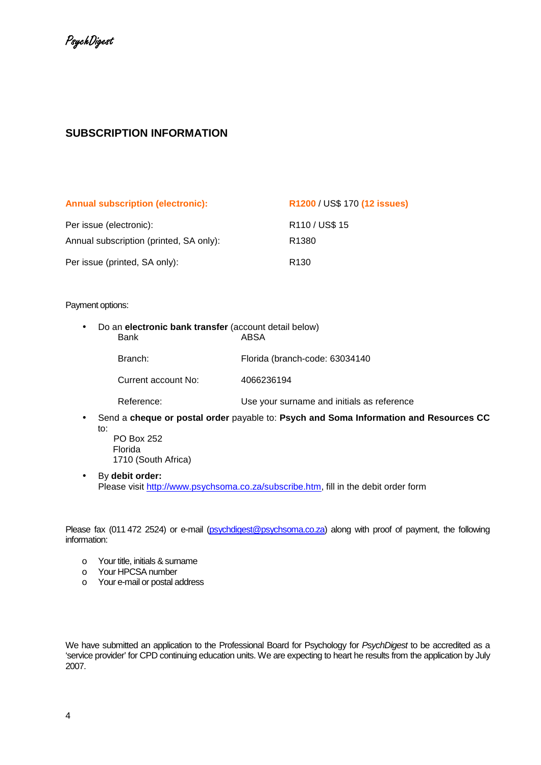# **SUBSCRIPTION INFORMATION**

| <b>Annual subscription (electronic):</b> | R1200 / US\$ 170 (12 issues) |
|------------------------------------------|------------------------------|
| Per issue (electronic):                  | R110 / US\$ 15               |
| Annual subscription (printed, SA only):  | R <sub>1380</sub>            |
| Per issue (printed, SA only):            | R <sub>130</sub>             |

### Payment options:

- Do an **electronic bank transfer** (account detail below) **ABSA** 
	-

Branch: Florida (branch-code: 63034140

Current account No: 4066236194

Reference: Use your surname and initials as reference

• Send a **cheque or postal order** payable to: **Psych and Soma Information and Resources CC** to: PO Box 252

Florida 1710 (South Africa)

• By **debit order:** Please visit http://www.psychsoma.co.za/subscribe.htm, fill in the debit order form

Please fax (011 472 2524) or e-mail (psychdigest@psychsoma.co.za) along with proof of payment, the following information:

- o Your title, initials & surname
- o Your HPCSA number
- o Your e-mail or postal address

We have submitted an application to the Professional Board for Psychology for PsychDigest to be accredited as a 'service provider' for CPD continuing education units. We are expecting to heart he results from the application by July 2007.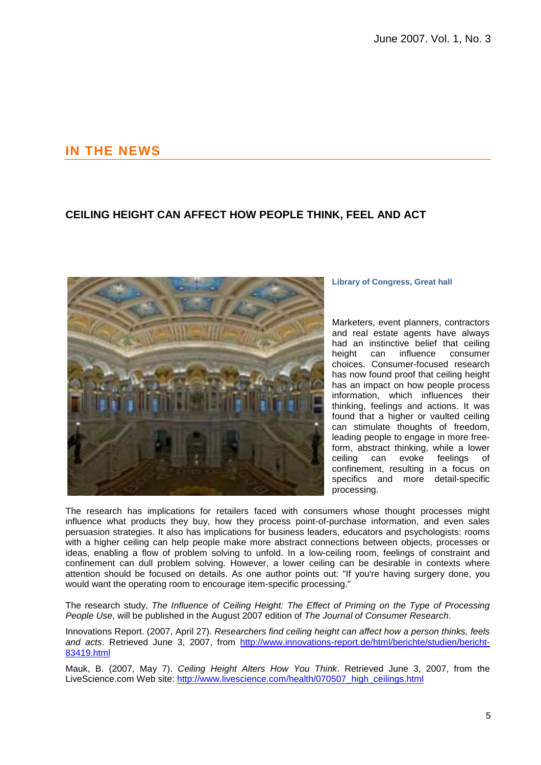# **IN THE NEWS**

# **CEILING HEIGHT CAN AFFECT HOW PEOPLE THINK, FEEL AND ACT**



### **Library of Congress, Great hall**

Marketers, event planners, contractors and real estate agents have always had an instinctive belief that ceiling height can influence consumer choices. Consumer-focused research has now found proof that ceiling height has an impact on how people process information, which influences their thinking, feelings and actions. It was found that a higher or vaulted ceiling can stimulate thoughts of freedom, leading people to engage in more freeform, abstract thinking, while a lower ceiling can evoke feelings of confinement, resulting in a focus on specifics and more detail-specific processing.

The research has implications for retailers faced with consumers whose thought processes might influence what products they buy, how they process point-of-purchase information, and even sales persuasion strategies. It also has implications for business leaders, educators and psychologists: rooms with a higher ceiling can help people make more abstract connections between objects, processes or ideas, enabling a flow of problem solving to unfold. In a low-ceiling room, feelings of constraint and confinement can dull problem solving. However, a lower ceiling can be desirable in contexts where attention should be focused on details. As one author points out: "If you're having surgery done, you would want the operating room to encourage item-specific processing."

The research study, The Influence of Ceiling Height: The Effect of Priming on the Type of Processing People Use, will be published in the August 2007 edition of The Journal of Consumer Research.

Innovations Report. (2007, April 27). Researchers find ceiling height can affect how a person thinks, feels and acts. Retrieved June 3, 2007, from http://www.innovations-report.de/html/berichte/studien/bericht-83419.html

Mauk, B. (2007, May 7). Ceiling Height Alters How You Think. Retrieved June 3, 2007, from the LiveScience.com Web site: http://www.livescience.com/health/070507\_high\_ceilings.html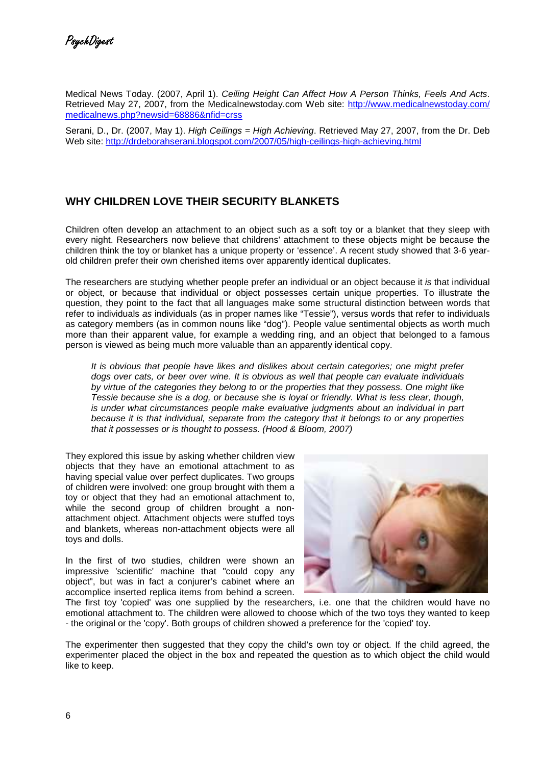Medical News Today. (2007, April 1). Ceiling Height Can Affect How A Person Thinks, Feels And Acts. Retrieved May 27, 2007, from the Medicalnewstoday.com Web site: http://www.medicalnewstoday.com/ medicalnews.php?newsid=68886&nfid=crss

Serani, D., Dr. (2007, May 1). High Ceilings = High Achieving. Retrieved May 27, 2007, from the Dr. Deb Web site: http://drdeborahserani.blogspot.com/2007/05/high-ceilings-high-achieving.html

## **WHY CHILDREN LOVE THEIR SECURITY BLANKETS**

Children often develop an attachment to an object such as a soft toy or a blanket that they sleep with every night. Researchers now believe that childrens' attachment to these objects might be because the children think the toy or blanket has a unique property or 'essence'. A recent study showed that 3-6 yearold children prefer their own cherished items over apparently identical duplicates.

The researchers are studying whether people prefer an individual or an object because it is that individual or object, or because that individual or object possesses certain unique properties. To illustrate the question, they point to the fact that all languages make some structural distinction between words that refer to individuals as individuals (as in proper names like "Tessie"), versus words that refer to individuals as category members (as in common nouns like "dog"). People value sentimental objects as worth much more than their apparent value, for example a wedding ring, and an object that belonged to a famous person is viewed as being much more valuable than an apparently identical copy.

It is obvious that people have likes and dislikes about certain categories; one might prefer dogs over cats, or beer over wine. It is obvious as well that people can evaluate individuals by virtue of the categories they belong to or the properties that they possess. One might like Tessie because she is a dog, or because she is loyal or friendly. What is less clear, though, is under what circumstances people make evaluative judgments about an individual in part because it is that individual, separate from the category that it belongs to or any properties that it possesses or is thought to possess. (Hood & Bloom, 2007)

They explored this issue by asking whether children view objects that they have an emotional attachment to as having special value over perfect duplicates. Two groups of children were involved: one group brought with them a toy or object that they had an emotional attachment to, while the second group of children brought a nonattachment object. Attachment objects were stuffed toys and blankets, whereas non-attachment objects were all toys and dolls.

In the first of two studies, children were shown an impressive 'scientific' machine that "could copy any object", but was in fact a conjurer's cabinet where an accomplice inserted replica items from behind a screen.



The first toy 'copied' was one supplied by the researchers, i.e. one that the children would have no emotional attachment to. The children were allowed to choose which of the two toys they wanted to keep - the original or the 'copy'. Both groups of children showed a preference for the 'copied' toy.

The experimenter then suggested that they copy the child's own toy or object. If the child agreed, the experimenter placed the object in the box and repeated the question as to which object the child would like to keep.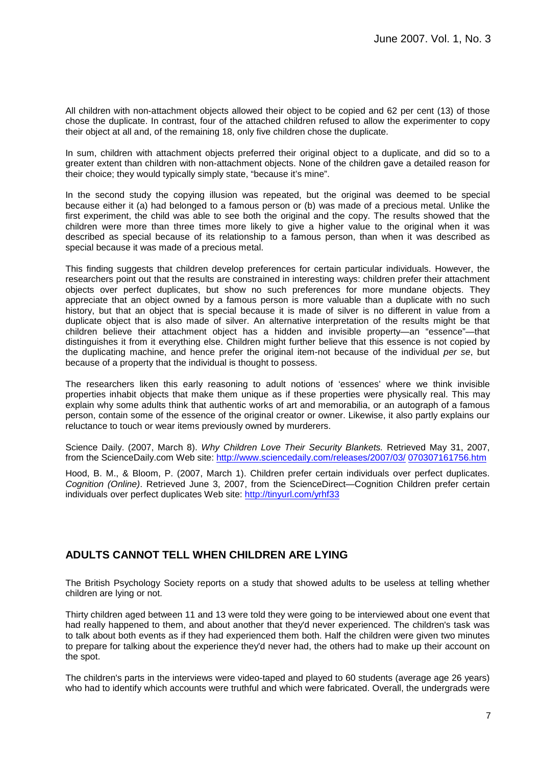All children with non-attachment objects allowed their object to be copied and 62 per cent (13) of those chose the duplicate. In contrast, four of the attached children refused to allow the experimenter to copy their object at all and, of the remaining 18, only five children chose the duplicate.

In sum, children with attachment objects preferred their original object to a duplicate, and did so to a greater extent than children with non-attachment objects. None of the children gave a detailed reason for their choice; they would typically simply state, "because it's mine".

In the second study the copying illusion was repeated, but the original was deemed to be special because either it (a) had belonged to a famous person or (b) was made of a precious metal. Unlike the first experiment, the child was able to see both the original and the copy. The results showed that the children were more than three times more likely to give a higher value to the original when it was described as special because of its relationship to a famous person, than when it was described as special because it was made of a precious metal.

This finding suggests that children develop preferences for certain particular individuals. However, the researchers point out that the results are constrained in interesting ways: children prefer their attachment objects over perfect duplicates, but show no such preferences for more mundane objects. They appreciate that an object owned by a famous person is more valuable than a duplicate with no such history, but that an object that is special because it is made of silver is no different in value from a duplicate object that is also made of silver. An alternative interpretation of the results might be that children believe their attachment object has a hidden and invisible property—an "essence"—that distinguishes it from it everything else. Children might further believe that this essence is not copied by the duplicating machine, and hence prefer the original item-not because of the individual per se, but because of a property that the individual is thought to possess.

The researchers liken this early reasoning to adult notions of 'essences' where we think invisible properties inhabit objects that make them unique as if these properties were physically real. This may explain why some adults think that authentic works of art and memorabilia, or an autograph of a famous person, contain some of the essence of the original creator or owner. Likewise, it also partly explains our reluctance to touch or wear items previously owned by murderers.

Science Daily. (2007, March 8). Why Children Love Their Security Blankets. Retrieved May 31, 2007, from the ScienceDaily.com Web site: http://www.sciencedaily.com/releases/2007/03/ 070307161756.htm

Hood, B. M., & Bloom, P. (2007, March 1). Children prefer certain individuals over perfect duplicates. Cognition (Online). Retrieved June 3, 2007, from the ScienceDirect—Cognition Children prefer certain individuals over perfect duplicates Web site: http://tinyurl.com/yrhf33

# **ADULTS CANNOT TELL WHEN CHILDREN ARE LYING**

The British Psychology Society reports on a study that showed adults to be useless at telling whether children are lying or not.

Thirty children aged between 11 and 13 were told they were going to be interviewed about one event that had really happened to them, and about another that they'd never experienced. The children's task was to talk about both events as if they had experienced them both. Half the children were given two minutes to prepare for talking about the experience they'd never had, the others had to make up their account on the spot.

The children's parts in the interviews were video-taped and played to 60 students (average age 26 years) who had to identify which accounts were truthful and which were fabricated. Overall, the undergrads were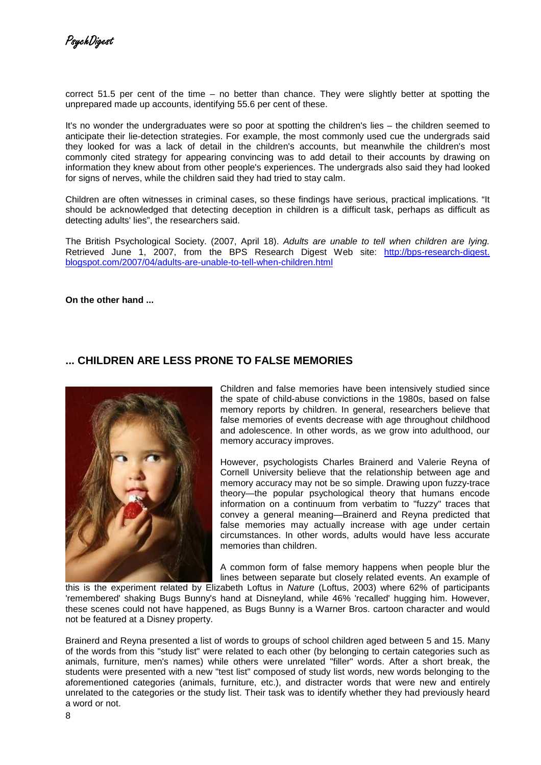correct 51.5 per cent of the time – no better than chance. They were slightly better at spotting the unprepared made up accounts, identifying 55.6 per cent of these.

It's no wonder the undergraduates were so poor at spotting the children's lies – the children seemed to anticipate their lie-detection strategies. For example, the most commonly used cue the undergrads said they looked for was a lack of detail in the children's accounts, but meanwhile the children's most commonly cited strategy for appearing convincing was to add detail to their accounts by drawing on information they knew about from other people's experiences. The undergrads also said they had looked for signs of nerves, while the children said they had tried to stay calm.

Children are often witnesses in criminal cases, so these findings have serious, practical implications. "It should be acknowledged that detecting deception in children is a difficult task, perhaps as difficult as detecting adults' lies", the researchers said.

The British Psychological Society. (2007, April 18). Adults are unable to tell when children are lying. Retrieved June 1, 2007, from the BPS Research Digest Web site: http://bps-research-digest. blogspot.com/2007/04/adults-are-unable-to-tell-when-children.html

**On the other hand ...** 

### **... CHILDREN ARE LESS PRONE TO FALSE MEMORIES**



Children and false memories have been intensively studied since the spate of child-abuse convictions in the 1980s, based on false memory reports by children. In general, researchers believe that false memories of events decrease with age throughout childhood and adolescence. In other words, as we grow into adulthood, our memory accuracy improves.

However, psychologists Charles Brainerd and Valerie Reyna of Cornell University believe that the relationship between age and memory accuracy may not be so simple. Drawing upon fuzzy-trace theory—the popular psychological theory that humans encode information on a continuum from verbatim to "fuzzy" traces that convey a general meaning—Brainerd and Reyna predicted that false memories may actually increase with age under certain circumstances. In other words, adults would have less accurate memories than children.

A common form of false memory happens when people blur the lines between separate but closely related events. An example of

this is the experiment related by Elizabeth Loftus in Nature (Loftus, 2003) where 62% of participants 'remembered' shaking Bugs Bunny's hand at Disneyland, while 46% 'recalled' hugging him. However, these scenes could not have happened, as Bugs Bunny is a Warner Bros. cartoon character and would not be featured at a Disney property.

Brainerd and Reyna presented a list of words to groups of school children aged between 5 and 15. Many of the words from this "study list" were related to each other (by belonging to certain categories such as animals, furniture, men's names) while others were unrelated "filler" words. After a short break, the students were presented with a new "test list" composed of study list words, new words belonging to the aforementioned categories (animals, furniture, etc.), and distracter words that were new and entirely unrelated to the categories or the study list. Their task was to identify whether they had previously heard a word or not.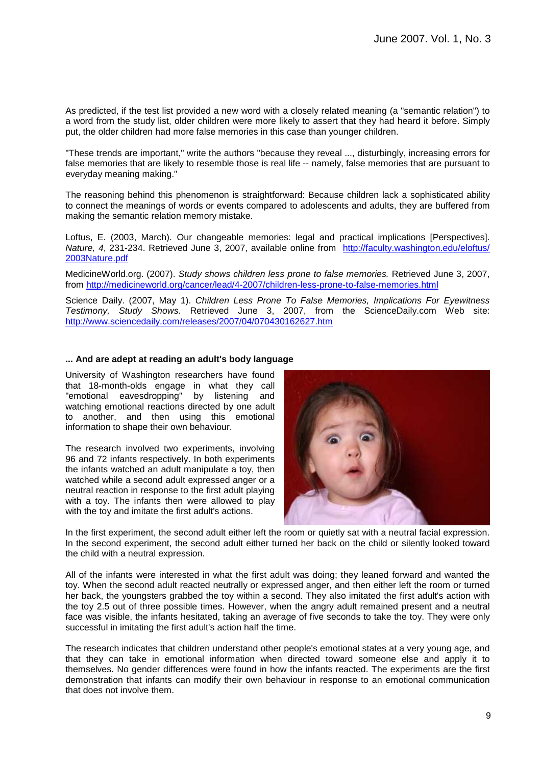As predicted, if the test list provided a new word with a closely related meaning (a "semantic relation") to a word from the study list, older children were more likely to assert that they had heard it before. Simply put, the older children had more false memories in this case than younger children.

"These trends are important," write the authors "because they reveal ..., disturbingly, increasing errors for false memories that are likely to resemble those is real life -- namely, false memories that are pursuant to everyday meaning making."

The reasoning behind this phenomenon is straightforward: Because children lack a sophisticated ability to connect the meanings of words or events compared to adolescents and adults, they are buffered from making the semantic relation memory mistake.

Loftus, E. (2003, March). Our changeable memories: legal and practical implications [Perspectives]. Nature, 4, 231-234. Retrieved June 3, 2007, available online from http://faculty.washington.edu/eloftus/ 2003Nature.pdf

MedicineWorld.org. (2007). Study shows children less prone to false memories. Retrieved June 3, 2007, from http://medicineworld.org/cancer/lead/4-2007/children-less-prone-to-false-memories.html

Science Daily. (2007, May 1). Children Less Prone To False Memories, Implications For Eyewitness Testimony, Study Shows. Retrieved June 3, 2007, from the ScienceDaily.com Web site: http://www.sciencedaily.com/releases/2007/04/070430162627.htm

### **... And are adept at reading an adult's body language**

University of Washington researchers have found that 18-month-olds engage in what they call "emotional eavesdropping" by listening and watching emotional reactions directed by one adult to another, and then using this emotional information to shape their own behaviour.

The research involved two experiments, involving 96 and 72 infants respectively. In both experiments the infants watched an adult manipulate a toy, then watched while a second adult expressed anger or a neutral reaction in response to the first adult playing with a toy. The infants then were allowed to play with the toy and imitate the first adult's actions.



In the first experiment, the second adult either left the room or quietly sat with a neutral facial expression. In the second experiment, the second adult either turned her back on the child or silently looked toward the child with a neutral expression.

All of the infants were interested in what the first adult was doing; they leaned forward and wanted the toy. When the second adult reacted neutrally or expressed anger, and then either left the room or turned her back, the youngsters grabbed the toy within a second. They also imitated the first adult's action with the toy 2.5 out of three possible times. However, when the angry adult remained present and a neutral face was visible, the infants hesitated, taking an average of five seconds to take the toy. They were only successful in imitating the first adult's action half the time.

The research indicates that children understand other people's emotional states at a very young age, and that they can take in emotional information when directed toward someone else and apply it to themselves. No gender differences were found in how the infants reacted. The experiments are the first demonstration that infants can modify their own behaviour in response to an emotional communication that does not involve them.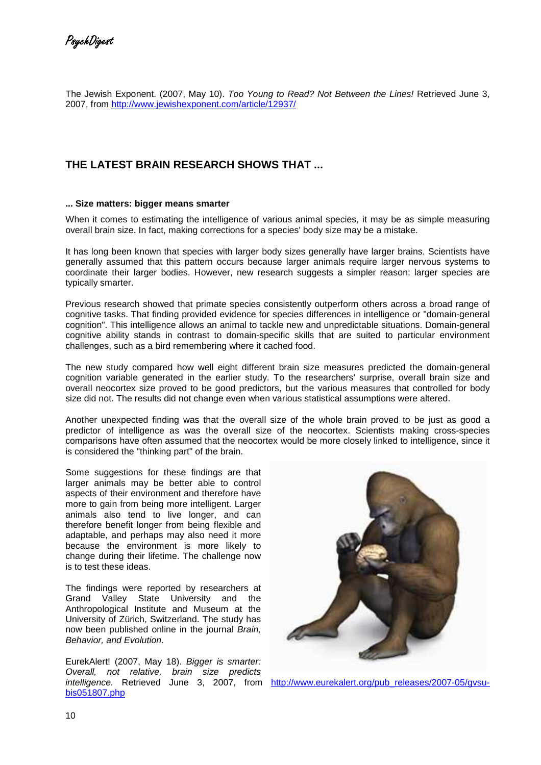The Jewish Exponent. (2007, May 10). Too Young to Read? Not Between the Lines! Retrieved June 3, 2007, from http://www.jewishexponent.com/article/12937/

# **THE LATEST BRAIN RESEARCH SHOWS THAT ...**

### **... Size matters: bigger means smarter**

When it comes to estimating the intelligence of various animal species, it may be as simple measuring overall brain size. In fact, making corrections for a species' body size may be a mistake.

It has long been known that species with larger body sizes generally have larger brains. Scientists have generally assumed that this pattern occurs because larger animals require larger nervous systems to coordinate their larger bodies. However, new research suggests a simpler reason: larger species are typically smarter.

Previous research showed that primate species consistently outperform others across a broad range of cognitive tasks. That finding provided evidence for species differences in intelligence or "domain-general cognition". This intelligence allows an animal to tackle new and unpredictable situations. Domain-general cognitive ability stands in contrast to domain-specific skills that are suited to particular environment challenges, such as a bird remembering where it cached food.

The new study compared how well eight different brain size measures predicted the domain-general cognition variable generated in the earlier study. To the researchers' surprise, overall brain size and overall neocortex size proved to be good predictors, but the various measures that controlled for body size did not. The results did not change even when various statistical assumptions were altered.

Another unexpected finding was that the overall size of the whole brain proved to be just as good a predictor of intelligence as was the overall size of the neocortex. Scientists making cross-species comparisons have often assumed that the neocortex would be more closely linked to intelligence, since it is considered the "thinking part" of the brain.

Some suggestions for these findings are that larger animals may be better able to control aspects of their environment and therefore have more to gain from being more intelligent. Larger animals also tend to live longer, and can therefore benefit longer from being flexible and adaptable, and perhaps may also need it more because the environment is more likely to change during their lifetime. The challenge now is to test these ideas.

The findings were reported by researchers at Grand Valley State University and the Anthropological Institute and Museum at the University of Zürich, Switzerland. The study has now been published online in the journal Brain, Behavior, and Evolution.

EurekAlert! (2007, May 18). Bigger is smarter: Overall, not relative, brain size predicts intelligence. Retrieved June 3, 2007, from http://www.eurekalert.org/pub\_releases/2007-05/gvsubis051807.php

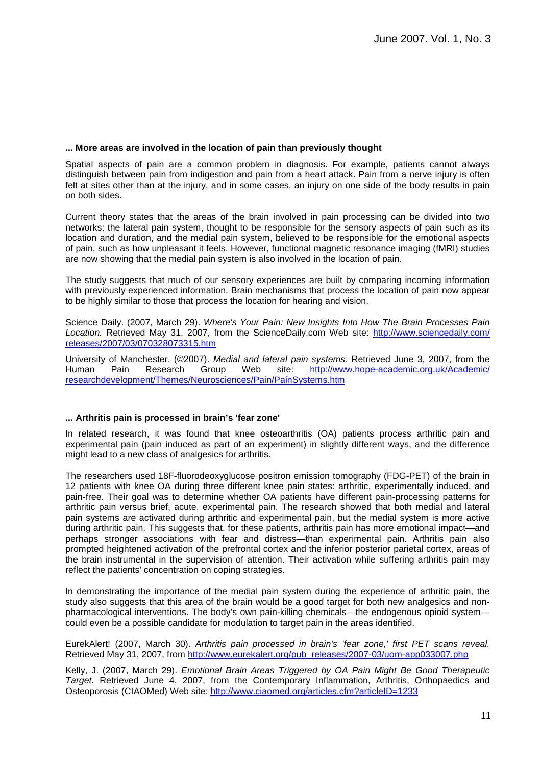### **... More areas are involved in the location of pain than previously thought**

Spatial aspects of pain are a common problem in diagnosis. For example, patients cannot always distinguish between pain from indigestion and pain from a heart attack. Pain from a nerve injury is often felt at sites other than at the injury, and in some cases, an injury on one side of the body results in pain on both sides.

Current theory states that the areas of the brain involved in pain processing can be divided into two networks: the lateral pain system, thought to be responsible for the sensory aspects of pain such as its location and duration, and the medial pain system, believed to be responsible for the emotional aspects of pain, such as how unpleasant it feels. However, functional magnetic resonance imaging (fMRI) studies are now showing that the medial pain system is also involved in the location of pain.

The study suggests that much of our sensory experiences are built by comparing incoming information with previously experienced information. Brain mechanisms that process the location of pain now appear to be highly similar to those that process the location for hearing and vision.

Science Daily. (2007, March 29). Where's Your Pain: New Insights Into How The Brain Processes Pain Location. Retrieved May 31, 2007, from the ScienceDaily.com Web site: http://www.sciencedaily.com/ releases/2007/03/070328073315.htm

University of Manchester. (©2007). Medial and lateral pain systems. Retrieved June 3, 2007, from the Human Pain Research Group Web site: http://www.hope-academic.org.uk/Academic/ researchdevelopment/Themes/Neurosciences/Pain/PainSystems.htm

### **... Arthritis pain is processed in brain's 'fear zone'**

In related research, it was found that knee osteoarthritis (OA) patients process arthritic pain and experimental pain (pain induced as part of an experiment) in slightly different ways, and the difference might lead to a new class of analgesics for arthritis.

The researchers used 18F-fluorodeoxyglucose positron emission tomography (FDG-PET) of the brain in 12 patients with knee OA during three different knee pain states: arthritic, experimentally induced, and pain-free. Their goal was to determine whether OA patients have different pain-processing patterns for arthritic pain versus brief, acute, experimental pain. The research showed that both medial and lateral pain systems are activated during arthritic and experimental pain, but the medial system is more active during arthritic pain. This suggests that, for these patients, arthritis pain has more emotional impact—and perhaps stronger associations with fear and distress—than experimental pain. Arthritis pain also prompted heightened activation of the prefrontal cortex and the inferior posterior parietal cortex, areas of the brain instrumental in the supervision of attention. Their activation while suffering arthritis pain may reflect the patients' concentration on coping strategies.

In demonstrating the importance of the medial pain system during the experience of arthritic pain, the study also suggests that this area of the brain would be a good target for both new analgesics and nonpharmacological interventions. The body's own pain-killing chemicals—the endogenous opioid system could even be a possible candidate for modulation to target pain in the areas identified.

EurekAlert! (2007, March 30). Arthritis pain processed in brain's 'fear zone,' first PET scans reveal. Retrieved May 31, 2007, from http://www.eurekalert.org/pub\_releases/2007-03/uom-app033007.php

Kelly, J. (2007, March 29). Emotional Brain Areas Triggered by OA Pain Might Be Good Therapeutic Target. Retrieved June 4, 2007, from the Contemporary Inflammation, Arthritis, Orthopaedics and Osteoporosis (CIAOMed) Web site: http://www.ciaomed.org/articles.cfm?articleID=1233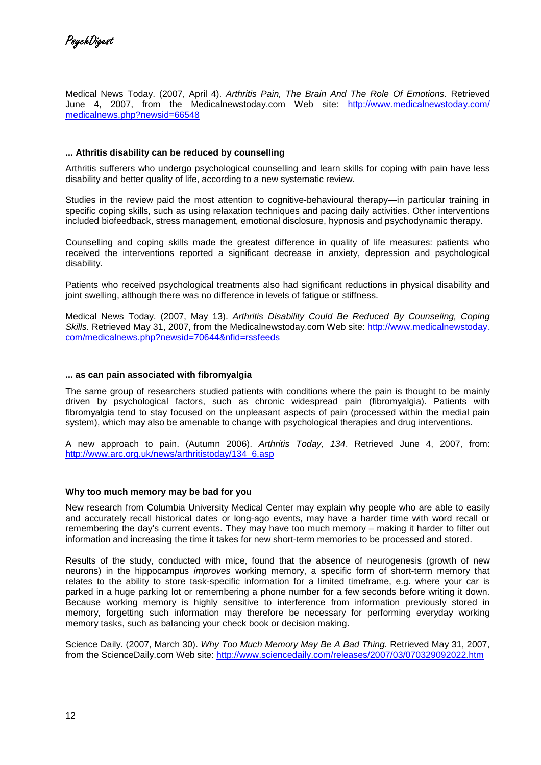Medical News Today. (2007, April 4). Arthritis Pain, The Brain And The Role Of Emotions. Retrieved June 4, 2007, from the Medicalnewstoday.com Web site: http://www.medicalnewstoday.com/ medicalnews.php?newsid=66548

### **... Athritis disability can be reduced by counselling**

Arthritis sufferers who undergo psychological counselling and learn skills for coping with pain have less disability and better quality of life, according to a new systematic review.

Studies in the review paid the most attention to cognitive-behavioural therapy—in particular training in specific coping skills, such as using relaxation techniques and pacing daily activities. Other interventions included biofeedback, stress management, emotional disclosure, hypnosis and psychodynamic therapy.

Counselling and coping skills made the greatest difference in quality of life measures: patients who received the interventions reported a significant decrease in anxiety, depression and psychological disability.

Patients who received psychological treatments also had significant reductions in physical disability and joint swelling, although there was no difference in levels of fatigue or stiffness.

Medical News Today. (2007, May 13). Arthritis Disability Could Be Reduced By Counseling, Coping Skills. Retrieved May 31, 2007, from the Medicalnewstoday.com Web site: http://www.medicalnewstoday. com/medicalnews.php?newsid=70644&nfid=rssfeeds

### **... as can pain associated with fibromyalgia**

The same group of researchers studied patients with conditions where the pain is thought to be mainly driven by psychological factors, such as chronic widespread pain (fibromyalgia). Patients with fibromyalgia tend to stay focused on the unpleasant aspects of pain (processed within the medial pain system), which may also be amenable to change with psychological therapies and drug interventions.

A new approach to pain. (Autumn 2006). Arthritis Today, 134. Retrieved June 4, 2007, from: http://www.arc.org.uk/news/arthritistoday/134\_6.asp

### **Why too much memory may be bad for you**

New research from Columbia University Medical Center may explain why people who are able to easily and accurately recall historical dates or long-ago events, may have a harder time with word recall or remembering the day's current events. They may have too much memory – making it harder to filter out information and increasing the time it takes for new short-term memories to be processed and stored.

Results of the study, conducted with mice, found that the absence of neurogenesis (growth of new neurons) in the hippocampus improves working memory, a specific form of short-term memory that relates to the ability to store task-specific information for a limited timeframe, e.g. where your car is parked in a huge parking lot or remembering a phone number for a few seconds before writing it down. Because working memory is highly sensitive to interference from information previously stored in memory, forgetting such information may therefore be necessary for performing everyday working memory tasks, such as balancing your check book or decision making.

Science Daily. (2007, March 30). Why Too Much Memory May Be A Bad Thing. Retrieved May 31, 2007, from the ScienceDaily.com Web site: http://www.sciencedaily.com/releases/2007/03/070329092022.htm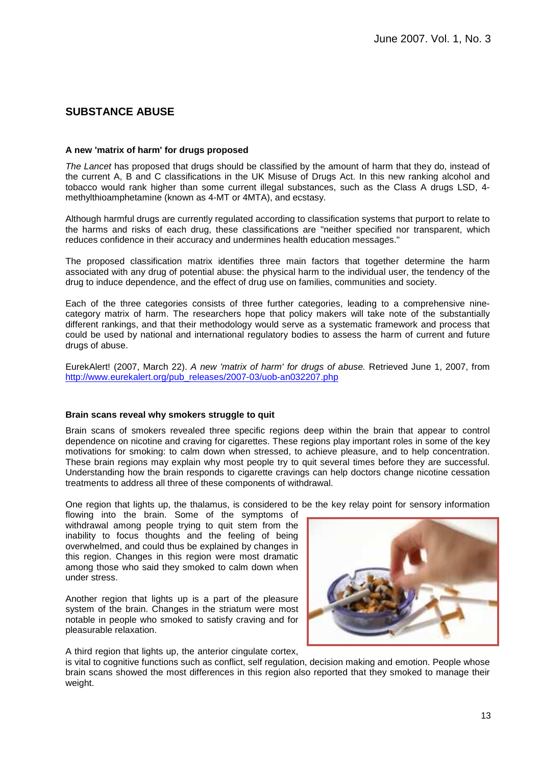## **SUBSTANCE ABUSE**

### **A new 'matrix of harm' for drugs proposed**

The Lancet has proposed that drugs should be classified by the amount of harm that they do, instead of the current A, B and C classifications in the UK Misuse of Drugs Act. In this new ranking alcohol and tobacco would rank higher than some current illegal substances, such as the Class A drugs LSD, 4 methylthioamphetamine (known as 4-MT or 4MTA), and ecstasy.

Although harmful drugs are currently regulated according to classification systems that purport to relate to the harms and risks of each drug, these classifications are "neither specified nor transparent, which reduces confidence in their accuracy and undermines health education messages."

The proposed classification matrix identifies three main factors that together determine the harm associated with any drug of potential abuse: the physical harm to the individual user, the tendency of the drug to induce dependence, and the effect of drug use on families, communities and society.

Each of the three categories consists of three further categories, leading to a comprehensive ninecategory matrix of harm. The researchers hope that policy makers will take note of the substantially different rankings, and that their methodology would serve as a systematic framework and process that could be used by national and international regulatory bodies to assess the harm of current and future drugs of abuse.

EurekAlert! (2007, March 22). A new 'matrix of harm' for drugs of abuse. Retrieved June 1, 2007, from http://www.eurekalert.org/pub\_releases/2007-03/uob-an032207.php

### **Brain scans reveal why smokers struggle to quit**

Brain scans of smokers revealed three specific regions deep within the brain that appear to control dependence on nicotine and craving for cigarettes. These regions play important roles in some of the key motivations for smoking: to calm down when stressed, to achieve pleasure, and to help concentration. These brain regions may explain why most people try to quit several times before they are successful. Understanding how the brain responds to cigarette cravings can help doctors change nicotine cessation treatments to address all three of these components of withdrawal.

One region that lights up, the thalamus, is considered to be the key relay point for sensory information

flowing into the brain. Some of the symptoms of withdrawal among people trying to quit stem from the inability to focus thoughts and the feeling of being overwhelmed, and could thus be explained by changes in this region. Changes in this region were most dramatic among those who said they smoked to calm down when under stress.

Another region that lights up is a part of the pleasure system of the brain. Changes in the striatum were most notable in people who smoked to satisfy craving and for pleasurable relaxation.

A third region that lights up, the anterior cingulate cortex,

is vital to cognitive functions such as conflict, self regulation, decision making and emotion. People whose brain scans showed the most differences in this region also reported that they smoked to manage their weight.

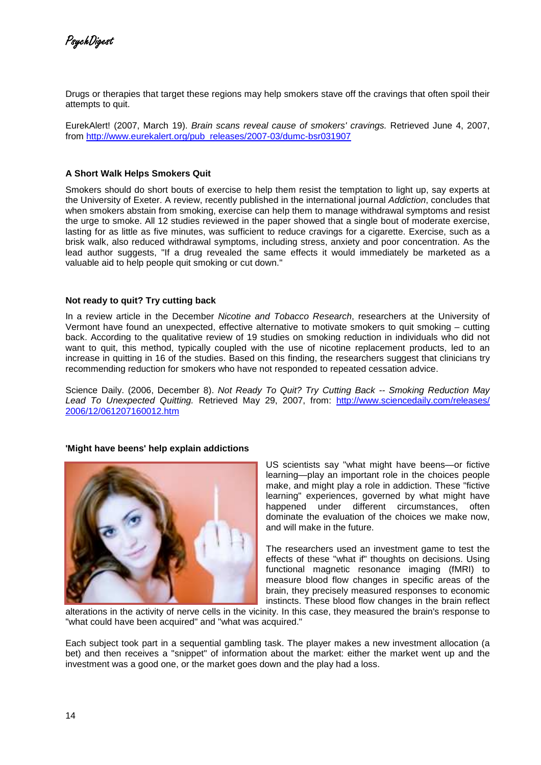PsychDigest

Drugs or therapies that target these regions may help smokers stave off the cravings that often spoil their attempts to quit.

EurekAlert! (2007, March 19). Brain scans reveal cause of smokers' cravings. Retrieved June 4, 2007, from http://www.eurekalert.org/pub\_releases/2007-03/dumc-bsr031907

### **A Short Walk Helps Smokers Quit**

Smokers should do short bouts of exercise to help them resist the temptation to light up, say experts at the University of Exeter. A review, recently published in the international journal Addiction, concludes that when smokers abstain from smoking, exercise can help them to manage withdrawal symptoms and resist the urge to smoke. All 12 studies reviewed in the paper showed that a single bout of moderate exercise, lasting for as little as five minutes, was sufficient to reduce cravings for a cigarette. Exercise, such as a brisk walk, also reduced withdrawal symptoms, including stress, anxiety and poor concentration. As the lead author suggests, "If a drug revealed the same effects it would immediately be marketed as a valuable aid to help people quit smoking or cut down."

#### **Not ready to quit? Try cutting back**

In a review article in the December Nicotine and Tobacco Research, researchers at the University of Vermont have found an unexpected, effective alternative to motivate smokers to quit smoking – cutting back. According to the qualitative review of 19 studies on smoking reduction in individuals who did not want to quit, this method, typically coupled with the use of nicotine replacement products, led to an increase in quitting in 16 of the studies. Based on this finding, the researchers suggest that clinicians try recommending reduction for smokers who have not responded to repeated cessation advice.

Science Daily. (2006, December 8). Not Ready To Quit? Try Cutting Back -- Smoking Reduction May Lead To Unexpected Quitting. Retrieved May 29, 2007, from: http://www.sciencedaily.com/releases/ 2006/12/061207160012.htm

#### **'Might have beens' help explain addictions**



US scientists say "what might have beens—or fictive learning—play an important role in the choices people make, and might play a role in addiction. These "fictive learning" experiences, governed by what might have happened under different circumstances, often dominate the evaluation of the choices we make now, and will make in the future.

The researchers used an investment game to test the effects of these "what if" thoughts on decisions. Using functional magnetic resonance imaging (fMRI) to measure blood flow changes in specific areas of the brain, they precisely measured responses to economic instincts. These blood flow changes in the brain reflect

alterations in the activity of nerve cells in the vicinity. In this case, they measured the brain's response to "what could have been acquired" and "what was acquired."

Each subject took part in a sequential gambling task. The player makes a new investment allocation (a bet) and then receives a "snippet" of information about the market: either the market went up and the investment was a good one, or the market goes down and the play had a loss.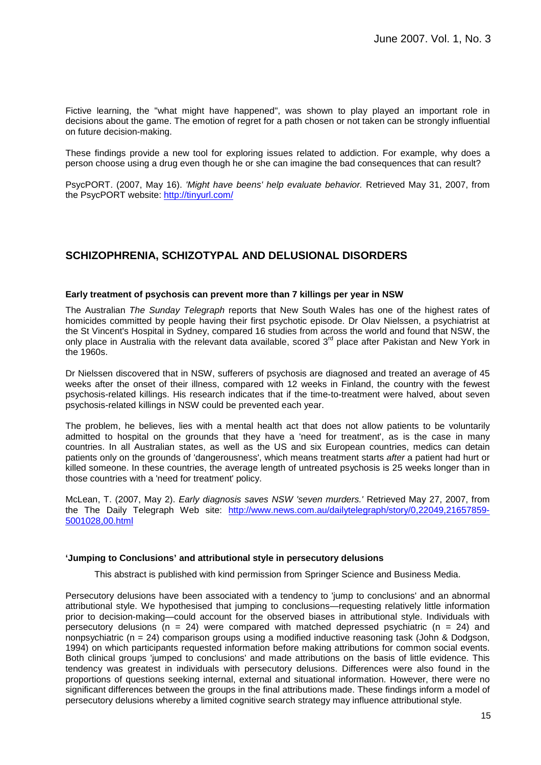Fictive learning, the "what might have happened", was shown to play played an important role in decisions about the game. The emotion of regret for a path chosen or not taken can be strongly influential on future decision-making.

These findings provide a new tool for exploring issues related to addiction. For example, why does a person choose using a drug even though he or she can imagine the bad consequences that can result?

PsycPORT. (2007, May 16). 'Might have beens' help evaluate behavior. Retrieved May 31, 2007, from the PsycPORT website: http://tinyurl.com/

## **SCHIZOPHRENIA, SCHIZOTYPAL AND DELUSIONAL DISORDERS**

### **Early treatment of psychosis can prevent more than 7 killings per year in NSW**

The Australian The Sunday Telegraph reports that New South Wales has one of the highest rates of homicides committed by people having their first psychotic episode. Dr Olav Nielssen, a psychiatrist at the St Vincent's Hospital in Sydney, compared 16 studies from across the world and found that NSW, the only place in Australia with the relevant data available, scored 3<sup>rd</sup> place after Pakistan and New York in the 1960s.

Dr Nielssen discovered that in NSW, sufferers of psychosis are diagnosed and treated an average of 45 weeks after the onset of their illness, compared with 12 weeks in Finland, the country with the fewest psychosis-related killings. His research indicates that if the time-to-treatment were halved, about seven psychosis-related killings in NSW could be prevented each year.

The problem, he believes, lies with a mental health act that does not allow patients to be voluntarily admitted to hospital on the grounds that they have a 'need for treatment', as is the case in many countries. In all Australian states, as well as the US and six European countries, medics can detain patients only on the grounds of 'dangerousness', which means treatment starts after a patient had hurt or killed someone. In these countries, the average length of untreated psychosis is 25 weeks longer than in those countries with a 'need for treatment' policy.

McLean, T. (2007, May 2). Early diagnosis saves NSW 'seven murders.' Retrieved May 27, 2007, from the The Daily Telegraph Web site: http://www.news.com.au/dailytelegraph/story/0,22049,21657859- 5001028,00.html

### **'Jumping to Conclusions' and attributional style in persecutory delusions**

This abstract is published with kind permission from Springer Science and Business Media.

Persecutory delusions have been associated with a tendency to 'jump to conclusions' and an abnormal attributional style. We hypothesised that jumping to conclusions—requesting relatively little information prior to decision-making—could account for the observed biases in attributional style. Individuals with persecutory delusions ( $n = 24$ ) were compared with matched depressed psychiatric ( $n = 24$ ) and nonpsychiatric ( $n = 24$ ) comparison groups using a modified inductive reasoning task (John & Dodgson, 1994) on which participants requested information before making attributions for common social events. Both clinical groups 'jumped to conclusions' and made attributions on the basis of little evidence. This tendency was greatest in individuals with persecutory delusions. Differences were also found in the proportions of questions seeking internal, external and situational information. However, there were no significant differences between the groups in the final attributions made. These findings inform a model of persecutory delusions whereby a limited cognitive search strategy may influence attributional style.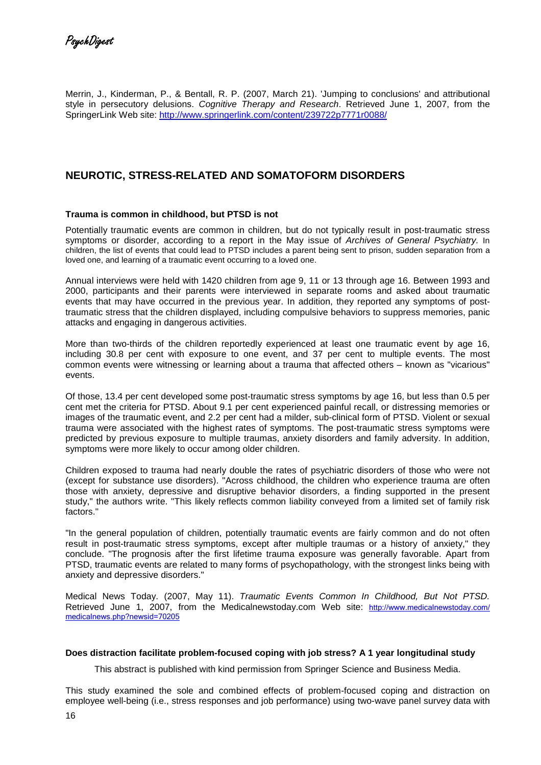Merrin, J., Kinderman, P., & Bentall, R. P. (2007, March 21). 'Jumping to conclusions' and attributional style in persecutory delusions. Cognitive Therapy and Research. Retrieved June 1, 2007, from the SpringerLink Web site: http://www.springerlink.com/content/239722p7771r0088/

## **NEUROTIC, STRESS-RELATED AND SOMATOFORM DISORDERS**

### **Trauma is common in childhood, but PTSD is not**

Potentially traumatic events are common in children, but do not typically result in post-traumatic stress symptoms or disorder, according to a report in the May issue of Archives of General Psychiatry. In children, the list of events that could lead to PTSD includes a parent being sent to prison, sudden separation from a loved one, and learning of a traumatic event occurring to a loved one.

Annual interviews were held with 1420 children from age 9, 11 or 13 through age 16. Between 1993 and 2000, participants and their parents were interviewed in separate rooms and asked about traumatic events that may have occurred in the previous year. In addition, they reported any symptoms of posttraumatic stress that the children displayed, including compulsive behaviors to suppress memories, panic attacks and engaging in dangerous activities.

More than two-thirds of the children reportedly experienced at least one traumatic event by age 16, including 30.8 per cent with exposure to one event, and 37 per cent to multiple events. The most common events were witnessing or learning about a trauma that affected others – known as "vicarious" events.

Of those, 13.4 per cent developed some post-traumatic stress symptoms by age 16, but less than 0.5 per cent met the criteria for PTSD. About 9.1 per cent experienced painful recall, or distressing memories or images of the traumatic event, and 2.2 per cent had a milder, sub-clinical form of PTSD. Violent or sexual trauma were associated with the highest rates of symptoms. The post-traumatic stress symptoms were predicted by previous exposure to multiple traumas, anxiety disorders and family adversity. In addition, symptoms were more likely to occur among older children.

Children exposed to trauma had nearly double the rates of psychiatric disorders of those who were not (except for substance use disorders). "Across childhood, the children who experience trauma are often those with anxiety, depressive and disruptive behavior disorders, a finding supported in the present study," the authors write. "This likely reflects common liability conveyed from a limited set of family risk factors."

"In the general population of children, potentially traumatic events are fairly common and do not often result in post-traumatic stress symptoms, except after multiple traumas or a history of anxiety," they conclude. "The prognosis after the first lifetime trauma exposure was generally favorable. Apart from PTSD, traumatic events are related to many forms of psychopathology, with the strongest links being with anxiety and depressive disorders."

Medical News Today. (2007, May 11). Traumatic Events Common In Childhood, But Not PTSD. Retrieved June 1, 2007, from the Medicalnewstoday.com Web site: http://www.medicalnewstoday.com/ medicalnews.php?newsid=70205

### **Does distraction facilitate problem-focused coping with job stress? A 1 year longitudinal study**

This abstract is published with kind permission from Springer Science and Business Media.

This study examined the sole and combined effects of problem-focused coping and distraction on employee well-being (i.e., stress responses and job performance) using two-wave panel survey data with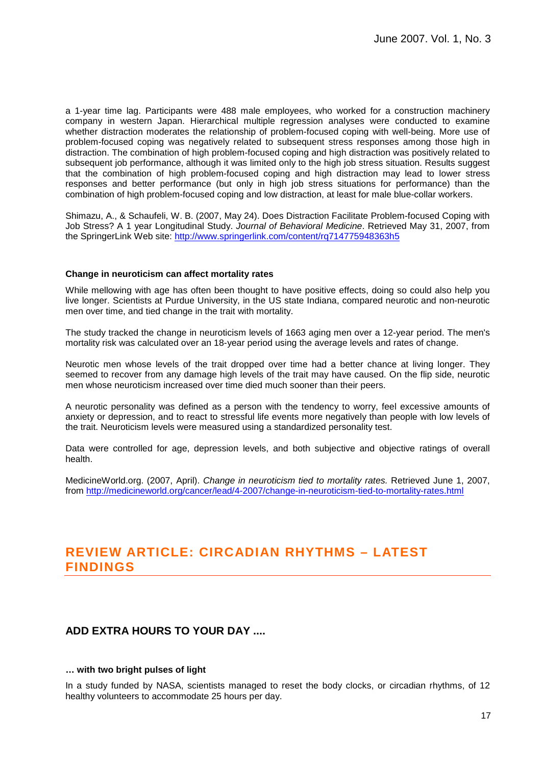a 1-year time lag. Participants were 488 male employees, who worked for a construction machinery company in western Japan. Hierarchical multiple regression analyses were conducted to examine whether distraction moderates the relationship of problem-focused coping with well-being. More use of problem-focused coping was negatively related to subsequent stress responses among those high in distraction. The combination of high problem-focused coping and high distraction was positively related to subsequent job performance, although it was limited only to the high job stress situation. Results suggest that the combination of high problem-focused coping and high distraction may lead to lower stress responses and better performance (but only in high job stress situations for performance) than the combination of high problem-focused coping and low distraction, at least for male blue-collar workers.

Shimazu, A., & Schaufeli, W. B. (2007, May 24). Does Distraction Facilitate Problem-focused Coping with Job Stress? A 1 year Longitudinal Study. Journal of Behavioral Medicine. Retrieved May 31, 2007, from the SpringerLink Web site: http://www.springerlink.com/content/rq714775948363h5

### **Change in neuroticism can affect mortality rates**

While mellowing with age has often been thought to have positive effects, doing so could also help you live longer. Scientists at Purdue University, in the US state Indiana, compared neurotic and non-neurotic men over time, and tied change in the trait with mortality.

The study tracked the change in neuroticism levels of 1663 aging men over a 12-year period. The men's mortality risk was calculated over an 18-year period using the average levels and rates of change.

Neurotic men whose levels of the trait dropped over time had a better chance at living longer. They seemed to recover from any damage high levels of the trait may have caused. On the flip side, neurotic men whose neuroticism increased over time died much sooner than their peers.

A neurotic personality was defined as a person with the tendency to worry, feel excessive amounts of anxiety or depression, and to react to stressful life events more negatively than people with low levels of the trait. Neuroticism levels were measured using a standardized personality test.

Data were controlled for age, depression levels, and both subjective and objective ratings of overall health.

MedicineWorld.org. (2007, April). Change in neuroticism tied to mortality rates. Retrieved June 1, 2007, from http://medicineworld.org/cancer/lead/4-2007/change-in-neuroticism-tied-to-mortality-rates.html

# **REVIEW ARTICLE: CIRCADIAN RHYTHMS – LATEST FINDINGS**

### **ADD EXTRA HOURS TO YOUR DAY ....**

### **… with two bright pulses of light**

In a study funded by NASA, scientists managed to reset the body clocks, or circadian rhythms, of 12 healthy volunteers to accommodate 25 hours per day.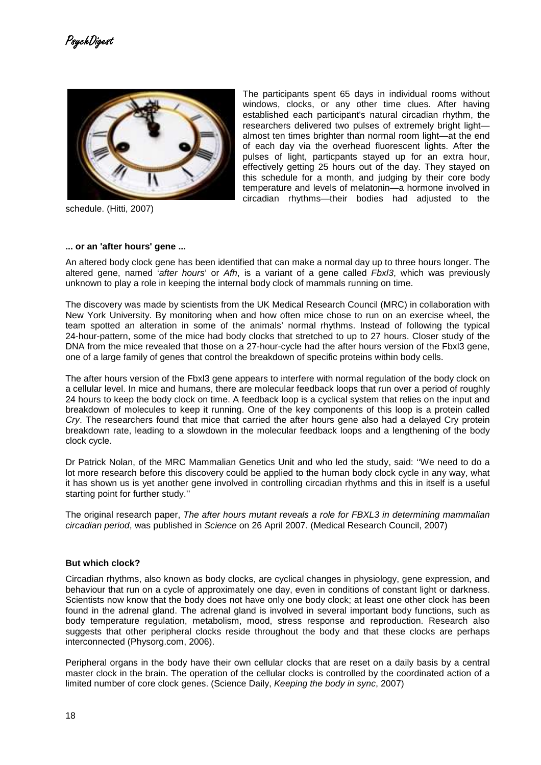

schedule. (Hitti, 2007)

The participants spent 65 days in individual rooms without windows, clocks, or any other time clues. After having established each participant's natural circadian rhythm, the researchers delivered two pulses of extremely bright light almost ten times brighter than normal room light—at the end of each day via the overhead fluorescent lights. After the pulses of light, particpants stayed up for an extra hour, effectively getting 25 hours out of the day. They stayed on this schedule for a month, and judging by their core body temperature and levels of melatonin—a hormone involved in circadian rhythms—their bodies had adjusted to the

### **... or an 'after hours' gene ...**

An altered body clock gene has been identified that can make a normal day up to three hours longer. The altered gene, named *'after hours'* or Afh, is a variant of a gene called Fbxl3, which was previously unknown to play a role in keeping the internal body clock of mammals running on time.

The discovery was made by scientists from the UK Medical Research Council (MRC) in collaboration with New York University. By monitoring when and how often mice chose to run on an exercise wheel, the team spotted an alteration in some of the animals' normal rhythms. Instead of following the typical 24-hour-pattern, some of the mice had body clocks that stretched to up to 27 hours. Closer study of the DNA from the mice revealed that those on a 27-hour-cycle had the after hours version of the Fbxl3 gene, one of a large family of genes that control the breakdown of specific proteins within body cells.

The after hours version of the Fbxl3 gene appears to interfere with normal regulation of the body clock on a cellular level. In mice and humans, there are molecular feedback loops that run over a period of roughly 24 hours to keep the body clock on time. A feedback loop is a cyclical system that relies on the input and breakdown of molecules to keep it running. One of the key components of this loop is a protein called Cry. The researchers found that mice that carried the after hours gene also had a delayed Cry protein breakdown rate, leading to a slowdown in the molecular feedback loops and a lengthening of the body clock cycle.

Dr Patrick Nolan, of the MRC Mammalian Genetics Unit and who led the study, said: ''We need to do a lot more research before this discovery could be applied to the human body clock cycle in any way, what it has shown us is yet another gene involved in controlling circadian rhythms and this in itself is a useful starting point for further study.''

The original research paper, The after hours mutant reveals a role for FBXL3 in determining mammalian circadian period, was published in Science on 26 April 2007. (Medical Research Council, 2007)

### **But which clock?**

Circadian rhythms, also known as body clocks, are cyclical changes in physiology, gene expression, and behaviour that run on a cycle of approximately one day, even in conditions of constant light or darkness. Scientists now know that the body does not have only one body clock; at least one other clock has been found in the adrenal gland. The adrenal gland is involved in several important body functions, such as body temperature regulation, metabolism, mood, stress response and reproduction. Research also suggests that other peripheral clocks reside throughout the body and that these clocks are perhaps interconnected (Physorg.com, 2006).

Peripheral organs in the body have their own cellular clocks that are reset on a daily basis by a central master clock in the brain. The operation of the cellular clocks is controlled by the coordinated action of a limited number of core clock genes. (Science Daily, Keeping the body in sync, 2007)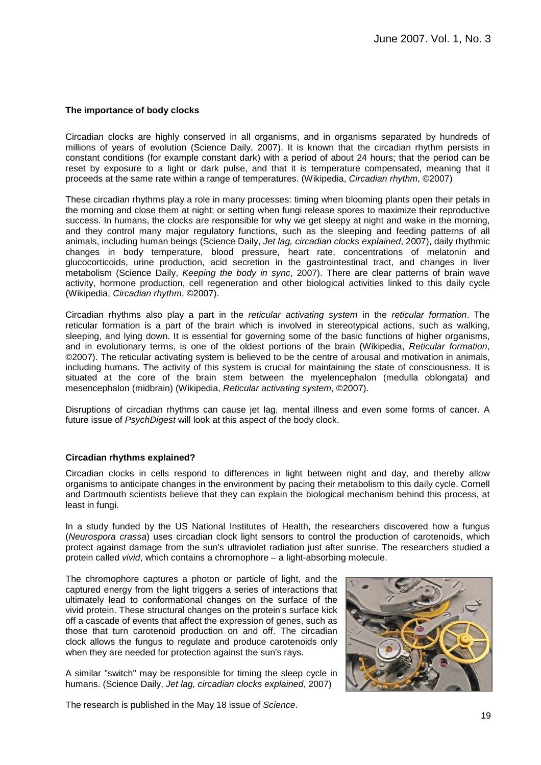### **The importance of body clocks**

Circadian clocks are highly conserved in all organisms, and in organisms separated by hundreds of millions of years of evolution (Science Daily, 2007). It is known that the circadian rhythm persists in constant conditions (for example constant dark) with a period of about 24 hours; that the period can be reset by exposure to a light or dark pulse, and that it is temperature compensated, meaning that it proceeds at the same rate within a range of temperatures. (Wikipedia, Circadian rhythm, ©2007)

These circadian rhythms play a role in many processes: timing when blooming plants open their petals in the morning and close them at night; or setting when fungi release spores to maximize their reproductive success. In humans, the clocks are responsible for why we get sleepy at night and wake in the morning, and they control many major regulatory functions, such as the sleeping and feeding patterns of all animals, including human beings (Science Daily, Jet lag, circadian clocks explained, 2007), daily rhythmic changes in body temperature, blood pressure, heart rate, concentrations of melatonin and glucocorticoids, urine production, acid secretion in the gastrointestinal tract, and changes in liver metabolism (Science Daily, Keeping the body in sync, 2007). There are clear patterns of brain wave activity, hormone production, cell regeneration and other biological activities linked to this daily cycle (Wikipedia, Circadian rhythm, ©2007).

Circadian rhythms also play a part in the reticular activating system in the reticular formation. The reticular formation is a part of the brain which is involved in stereotypical actions, such as walking, sleeping, and lying down. It is essential for governing some of the basic functions of higher organisms, and in evolutionary terms, is one of the oldest portions of the brain (Wikipedia, Reticular formation, ©2007). The reticular activating system is believed to be the centre of arousal and motivation in animals, including humans. The activity of this system is crucial for maintaining the state of consciousness. It is situated at the core of the brain stem between the myelencephalon (medulla oblongata) and mesencephalon (midbrain) (Wikipedia, Reticular activating system, ©2007).

Disruptions of circadian rhythms can cause jet lag, mental illness and even some forms of cancer. A future issue of PsychDigest will look at this aspect of the body clock.

### **Circadian rhythms explained?**

Circadian clocks in cells respond to differences in light between night and day, and thereby allow organisms to anticipate changes in the environment by pacing their metabolism to this daily cycle. Cornell and Dartmouth scientists believe that they can explain the biological mechanism behind this process, at least in fungi.

In a study funded by the US National Institutes of Health, the researchers discovered how a fungus (Neurospora crassa) uses circadian clock light sensors to control the production of carotenoids, which protect against damage from the sun's ultraviolet radiation just after sunrise. The researchers studied a protein called vivid, which contains a chromophore – a light-absorbing molecule.

The chromophore captures a photon or particle of light, and the captured energy from the light triggers a series of interactions that ultimately lead to conformational changes on the surface of the vivid protein. These structural changes on the protein's surface kick off a cascade of events that affect the expression of genes, such as those that turn carotenoid production on and off. The circadian clock allows the fungus to regulate and produce carotenoids only when they are needed for protection against the sun's rays.

A similar "switch" may be responsible for timing the sleep cycle in humans. (Science Daily, Jet lag, circadian clocks explained, 2007)



The research is published in the May 18 issue of Science.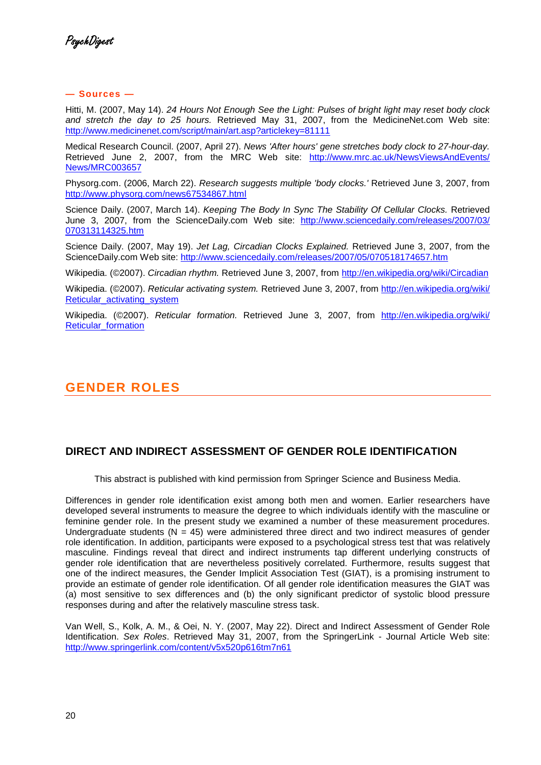### **— Sources —**

Hitti, M. (2007, May 14). 24 Hours Not Enough See the Light: Pulses of bright light may reset body clock and stretch the day to 25 hours. Retrieved May 31, 2007, from the MedicineNet.com Web site: http://www.medicinenet.com/script/main/art.asp?articlekey=81111

Medical Research Council. (2007, April 27). News 'After hours' gene stretches body clock to 27-hour-day. Retrieved June 2, 2007, from the MRC Web site: http://www.mrc.ac.uk/NewsViewsAndEvents/ News/MRC003657

Physorg.com. (2006, March 22). Research suggests multiple 'body clocks.' Retrieved June 3, 2007, from http://www.physorg.com/news67534867.html

Science Daily. (2007, March 14). Keeping The Body In Sync The Stability Of Cellular Clocks. Retrieved June 3, 2007, from the ScienceDaily.com Web site: http://www.sciencedaily.com/releases/2007/03/ 070313114325.htm

Science Daily. (2007, May 19). Jet Lag, Circadian Clocks Explained. Retrieved June 3, 2007, from the ScienceDaily.com Web site: http://www.sciencedaily.com/releases/2007/05/070518174657.htm

Wikipedia. (©2007). Circadian rhythm. Retrieved June 3, 2007, from http://en.wikipedia.org/wiki/Circadian

Wikipedia. (©2007). Reticular activating system. Retrieved June 3, 2007, from http://en.wikipedia.org/wiki/ Reticular\_activating\_system

Wikipedia. (©2007). Reticular formation. Retrieved June 3, 2007, from http://en.wikipedia.org/wiki/ Reticular formation

# **GENDER ROLES**

# **DIRECT AND INDIRECT ASSESSMENT OF GENDER ROLE IDENTIFICATION**

This abstract is published with kind permission from Springer Science and Business Media.

Differences in gender role identification exist among both men and women. Earlier researchers have developed several instruments to measure the degree to which individuals identify with the masculine or feminine gender role. In the present study we examined a number of these measurement procedures. Undergraduate students ( $N = 45$ ) were administered three direct and two indirect measures of gender role identification. In addition, participants were exposed to a psychological stress test that was relatively masculine. Findings reveal that direct and indirect instruments tap different underlying constructs of gender role identification that are nevertheless positively correlated. Furthermore, results suggest that one of the indirect measures, the Gender Implicit Association Test (GIAT), is a promising instrument to provide an estimate of gender role identification. Of all gender role identification measures the GIAT was (a) most sensitive to sex differences and (b) the only significant predictor of systolic blood pressure responses during and after the relatively masculine stress task.

Van Well, S., Kolk, A. M., & Oei, N. Y. (2007, May 22). Direct and Indirect Assessment of Gender Role Identification. Sex Roles. Retrieved May 31, 2007, from the SpringerLink - Journal Article Web site: http://www.springerlink.com/content/v5x520p616tm7n61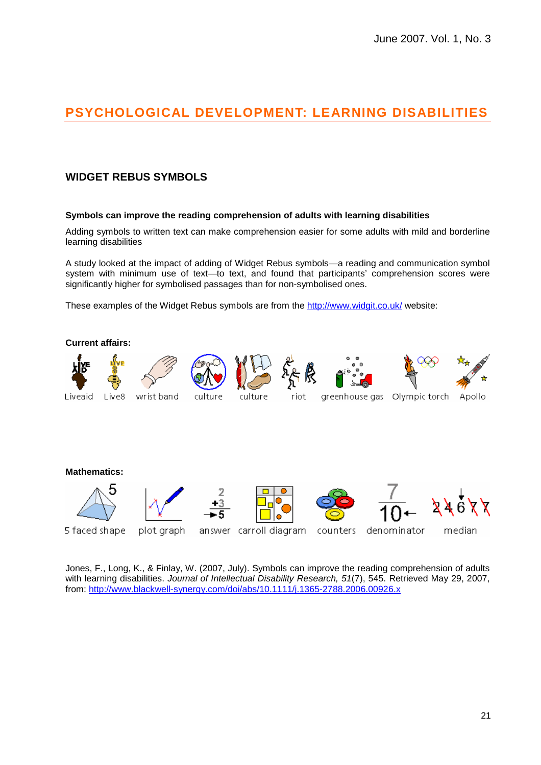# **PSYCHOLOGICAL DEVELOPMENT: LEARNING DISABILITIES**

## **WIDGET REBUS SYMBOLS**

### **Symbols can improve the reading comprehension of adults with learning disabilities**

Adding symbols to written text can make comprehension easier for some adults with mild and borderline learning disabilities

A study looked at the impact of adding of Widget Rebus symbols—a reading and communication symbol system with minimum use of text—to text, and found that participants' comprehension scores were significantly higher for symbolised passages than for non-symbolised ones.

These examples of the Widget Rebus symbols are from the http://www.widgit.co.uk/ website:



Jones, F., Long, K., & Finlay, W. (2007, July). Symbols can improve the reading comprehension of adults with learning disabilities. Journal of Intellectual Disability Research, 51(7), 545. Retrieved May 29, 2007, from: http://www.blackwell-synergy.com/doi/abs/10.1111/j.1365-2788.2006.00926.x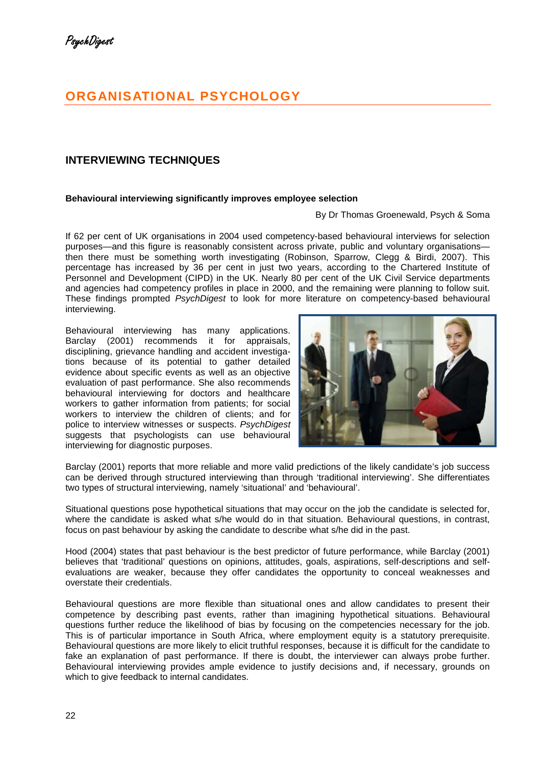# **ORGANISATIONAL PSYCHOLOGY**

# **INTERVIEWING TECHNIQUES**

### **Behavioural interviewing significantly improves employee selection**

### By Dr Thomas Groenewald, Psych & Soma

If 62 per cent of UK organisations in 2004 used competency-based behavioural interviews for selection purposes—and this figure is reasonably consistent across private, public and voluntary organisations then there must be something worth investigating (Robinson, Sparrow, Clegg & Birdi, 2007). This percentage has increased by 36 per cent in just two years, according to the Chartered Institute of Personnel and Development (CIPD) in the UK. Nearly 80 per cent of the UK Civil Service departments and agencies had competency profiles in place in 2000, and the remaining were planning to follow suit. These findings prompted PsychDigest to look for more literature on competency-based behavioural interviewing.

Behavioural interviewing has many applications. Barclay (2001) recommends it for appraisals, disciplining, grievance handling and accident investigations because of its potential to gather detailed evidence about specific events as well as an objective evaluation of past performance. She also recommends behavioural interviewing for doctors and healthcare workers to gather information from patients; for social workers to interview the children of clients; and for police to interview witnesses or suspects. PsychDigest suggests that psychologists can use behavioural interviewing for diagnostic purposes.



Barclay (2001) reports that more reliable and more valid predictions of the likely candidate's job success can be derived through structured interviewing than through 'traditional interviewing'. She differentiates two types of structural interviewing, namely 'situational' and 'behavioural'.

Situational questions pose hypothetical situations that may occur on the job the candidate is selected for, where the candidate is asked what s/he would do in that situation. Behavioural questions, in contrast, focus on past behaviour by asking the candidate to describe what s/he did in the past.

Hood (2004) states that past behaviour is the best predictor of future performance, while Barclay (2001) believes that 'traditional' questions on opinions, attitudes, goals, aspirations, self-descriptions and selfevaluations are weaker, because they offer candidates the opportunity to conceal weaknesses and overstate their credentials.

Behavioural questions are more flexible than situational ones and allow candidates to present their competence by describing past events, rather than imagining hypothetical situations. Behavioural questions further reduce the likelihood of bias by focusing on the competencies necessary for the job. This is of particular importance in South Africa, where employment equity is a statutory prerequisite. Behavioural questions are more likely to elicit truthful responses, because it is difficult for the candidate to fake an explanation of past performance. If there is doubt, the interviewer can always probe further. Behavioural interviewing provides ample evidence to justify decisions and, if necessary, grounds on which to give feedback to internal candidates.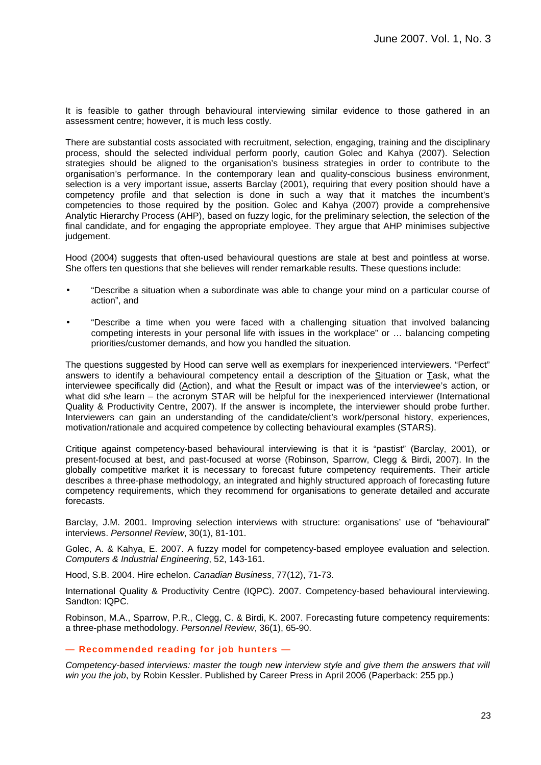It is feasible to gather through behavioural interviewing similar evidence to those gathered in an assessment centre; however, it is much less costly.

There are substantial costs associated with recruitment, selection, engaging, training and the disciplinary process, should the selected individual perform poorly, caution Golec and Kahya (2007). Selection strategies should be aligned to the organisation's business strategies in order to contribute to the organisation's performance. In the contemporary lean and quality-conscious business environment, selection is a very important issue, asserts Barclay (2001), requiring that every position should have a competency profile and that selection is done in such a way that it matches the incumbent's competencies to those required by the position. Golec and Kahya (2007) provide a comprehensive Analytic Hierarchy Process (AHP), based on fuzzy logic, for the preliminary selection, the selection of the final candidate, and for engaging the appropriate employee. They argue that AHP minimises subjective judgement.

Hood (2004) suggests that often-used behavioural questions are stale at best and pointless at worse. She offers ten questions that she believes will render remarkable results. These questions include:

- "Describe a situation when a subordinate was able to change your mind on a particular course of action", and
- "Describe a time when you were faced with a challenging situation that involved balancing competing interests in your personal life with issues in the workplace" or … balancing competing priorities/customer demands, and how you handled the situation.

The questions suggested by Hood can serve well as exemplars for inexperienced interviewers. "Perfect" answers to identify a behavioural competency entail a description of the Situation or Task, what the interviewee specifically did (Action), and what the Result or impact was of the interviewee's action, or what did s/he learn – the acronym STAR will be helpful for the inexperienced interviewer (International Quality & Productivity Centre, 2007). If the answer is incomplete, the interviewer should probe further. Interviewers can gain an understanding of the candidate/client's work/personal history, experiences, motivation/rationale and acquired competence by collecting behavioural examples (STARS).

Critique against competency-based behavioural interviewing is that it is "pastist" (Barclay, 2001), or present-focused at best, and past-focused at worse (Robinson, Sparrow, Clegg & Birdi, 2007). In the globally competitive market it is necessary to forecast future competency requirements. Their article describes a three-phase methodology, an integrated and highly structured approach of forecasting future competency requirements, which they recommend for organisations to generate detailed and accurate forecasts.

Barclay, J.M. 2001. Improving selection interviews with structure: organisations' use of "behavioural" interviews. Personnel Review, 30(1), 81-101.

Golec, A. & Kahya, E. 2007. A fuzzy model for competency-based employee evaluation and selection. Computers & Industrial Engineering, 52, 143-161.

Hood, S.B. 2004. Hire echelon. Canadian Business, 77(12), 71-73.

International Quality & Productivity Centre (IQPC). 2007. Competency-based behavioural interviewing. Sandton: IQPC.

Robinson, M.A., Sparrow, P.R., Clegg, C. & Birdi, K. 2007. Forecasting future competency requirements: a three-phase methodology. Personnel Review, 36(1), 65-90.

### **— Recommended reading for job hunters —**

Competency-based interviews: master the tough new interview style and give them the answers that will win you the job, by Robin Kessler. Published by Career Press in April 2006 (Paperback: 255 pp.)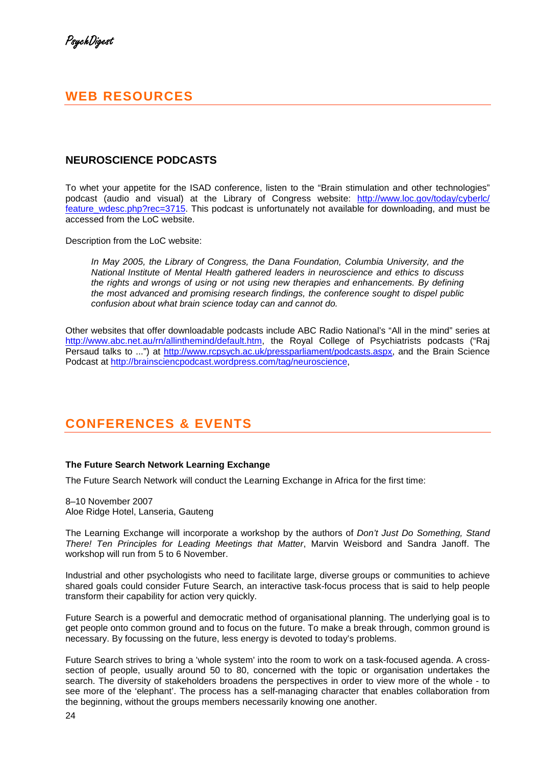# **WEB RESOURCES**

## **NEUROSCIENCE PODCASTS**

To whet your appetite for the ISAD conference, listen to the "Brain stimulation and other technologies" podcast (audio and visual) at the Library of Congress website: http://www.loc.gov/today/cyberlc/ feature\_wdesc.php?rec=3715. This podcast is unfortunately not available for downloading, and must be accessed from the LoC website.

Description from the LoC website:

In May 2005, the Library of Congress, the Dana Foundation, Columbia University, and the National Institute of Mental Health gathered leaders in neuroscience and ethics to discuss the rights and wrongs of using or not using new therapies and enhancements. By defining the most advanced and promising research findings, the conference sought to dispel public confusion about what brain science today can and cannot do.

Other websites that offer downloadable podcasts include ABC Radio National's "All in the mind" series at http://www.abc.net.au/rn/allinthemind/default.htm, the Royal College of Psychiatrists podcasts ("Raj Persaud talks to ...") at http://www.rcpsych.ac.uk/pressparliament/podcasts.aspx, and the Brain Science Podcast at http://brainsciencpodcast.wordpress.com/tag/neuroscience,

# **CONFERENCES & EVENTS**

### **The Future Search Network Learning Exchange**

The Future Search Network will conduct the Learning Exchange in Africa for the first time:

8–10 November 2007 Aloe Ridge Hotel, Lanseria, Gauteng

The Learning Exchange will incorporate a workshop by the authors of *Don't Just Do Something*, Stand There! Ten Principles for Leading Meetings that Matter, Marvin Weisbord and Sandra Janoff. The workshop will run from 5 to 6 November.

Industrial and other psychologists who need to facilitate large, diverse groups or communities to achieve shared goals could consider Future Search, an interactive task-focus process that is said to help people transform their capability for action very quickly.

Future Search is a powerful and democratic method of organisational planning. The underlying goal is to get people onto common ground and to focus on the future. To make a break through, common ground is necessary. By focussing on the future, less energy is devoted to today's problems.

Future Search strives to bring a 'whole system' into the room to work on a task-focused agenda. A crosssection of people, usually around 50 to 80, concerned with the topic or organisation undertakes the search. The diversity of stakeholders broadens the perspectives in order to view more of the whole - to see more of the 'elephant'. The process has a self-managing character that enables collaboration from the beginning, without the groups members necessarily knowing one another.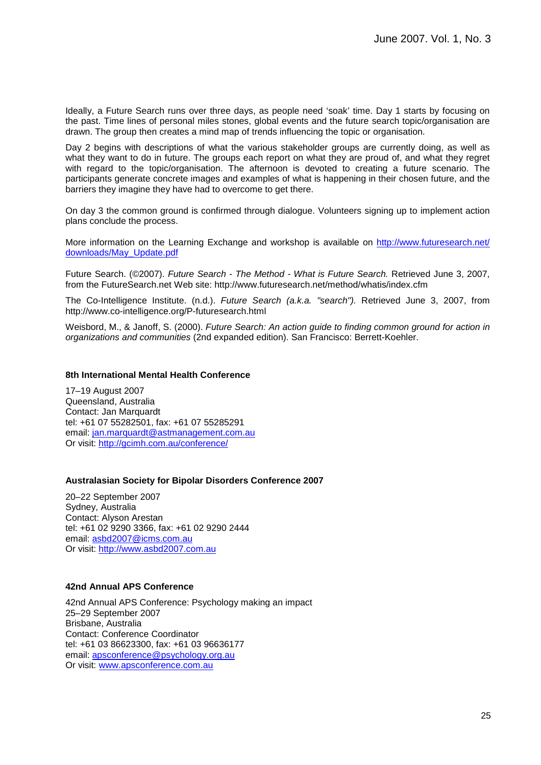Ideally, a Future Search runs over three days, as people need 'soak' time. Day 1 starts by focusing on the past. Time lines of personal miles stones, global events and the future search topic/organisation are drawn. The group then creates a mind map of trends influencing the topic or organisation.

Day 2 begins with descriptions of what the various stakeholder groups are currently doing, as well as what they want to do in future. The groups each report on what they are proud of, and what they regret with regard to the topic/organisation. The afternoon is devoted to creating a future scenario. The participants generate concrete images and examples of what is happening in their chosen future, and the barriers they imagine they have had to overcome to get there.

On day 3 the common ground is confirmed through dialogue. Volunteers signing up to implement action plans conclude the process.

More information on the Learning Exchange and workshop is available on http://www.futuresearch.net/ downloads/May\_Update.pdf

Future Search. (©2007). Future Search - The Method - What is Future Search. Retrieved June 3, 2007, from the FutureSearch.net Web site: http://www.futuresearch.net/method/whatis/index.cfm

The Co-Intelligence Institute. (n.d.). Future Search (a.k.a. "search"). Retrieved June 3, 2007, from http://www.co-intelligence.org/P-futuresearch.html

Weisbord, M., & Janoff, S. (2000). Future Search: An action guide to finding common ground for action in organizations and communities (2nd expanded edition). San Francisco: Berrett-Koehler.

### **8th International Mental Health Conference**

17–19 August 2007 Queensland, Australia Contact: Jan Marquardt tel: +61 07 55282501, fax: +61 07 55285291 email: jan.marquardt@astmanagement.com.au Or visit: http://gcimh.com.au/conference/

### **Australasian Society for Bipolar Disorders Conference 2007**

20–22 September 2007 Sydney, Australia Contact: Alyson Arestan tel: +61 02 9290 3366, fax: +61 02 9290 2444 email: asbd2007@icms.com.au Or visit: http://www.asbd2007.com.au

### **42nd Annual APS Conference**

42nd Annual APS Conference: Psychology making an impact 25–29 September 2007 Brisbane, Australia Contact: Conference Coordinator tel: +61 03 86623300, fax: +61 03 96636177 email: apsconference@psychology.org.au Or visit: www.apsconference.com.au